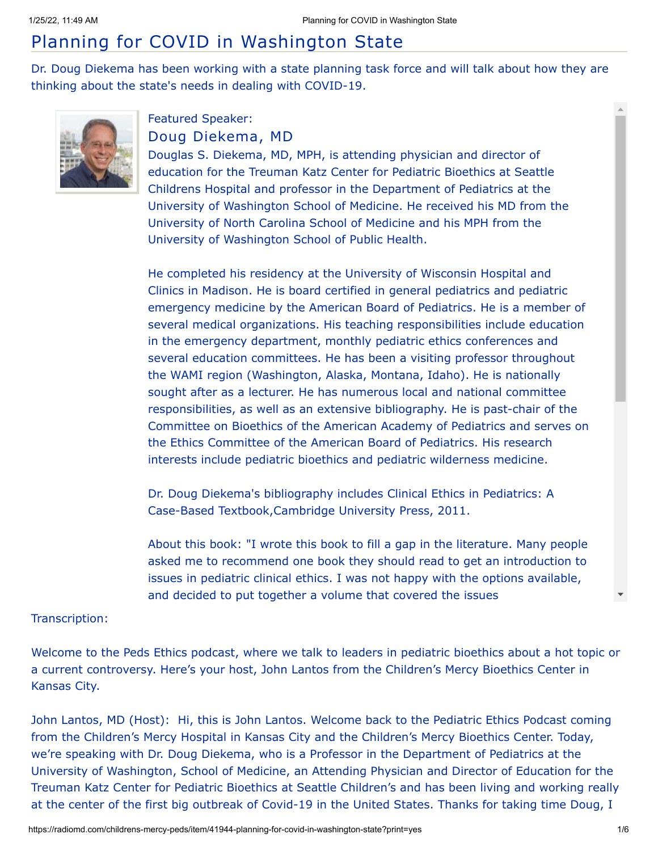# Planning for COVID in Washington State

Dr. Doug Diekema has been working with a state planning task force and will talk about how they are thinking about the state's needs in dealing with COVID-19.



## Featured Speaker: Doug Diekema, MD

Douglas S. Diekema, MD, MPH, is attending physician and director of education for the Treuman Katz Center for Pediatric Bioethics at Seattle Childrens Hospital and professor in the Department of Pediatrics at the University of Washington School of Medicine. He received his MD from the University of North Carolina School of Medicine and his MPH from the University of Washington School of Public Health.

He completed his residency at the University of Wisconsin Hospital and Clinics in Madison. He is board certified in general pediatrics and pediatric emergency medicine by the American Board of Pediatrics. He is a member of several medical organizations. His teaching responsibilities include education in the emergency department, monthly pediatric ethics conferences and several education committees. He has been a visiting professor throughout the WAMI region (Washington, Alaska, Montana, Idaho). He is nationally sought after as a lecturer. He has numerous local and national committee responsibilities, as well as an extensive bibliography. He is past-chair of the Committee on Bioethics of the American Academy of Pediatrics and serves on the Ethics Committee of the American Board of Pediatrics. His research interests include pediatric bioethics and pediatric wilderness medicine.

Dr. Doug Diekema's bibliography includes Clinical Ethics in Pediatrics: A Case-Based Textbook,Cambridge University Press, 2011.

About this book: "I wrote this book to fill a gap in the literature. Many people asked me to recommend one book they should read to get an introduction to issues in pediatric clinical ethics. I was not happy with the options available, and decided to put together a volume that covered the issues

### Transcription:

Welcome to the Peds Ethics podcast, where we talk to leaders in pediatric bioethics about a hot topic or a current controversy. Here's your host, John Lantos from the Children's Mercy Bioethics Center in Kansas City.

John Lantos, MD (Host): Hi, this is John Lantos. Welcome back to the Pediatric Ethics Podcast coming from the Children's Mercy Hospital in Kansas City and the Children's Mercy Bioethics Center. Today, we're speaking with Dr. Doug Diekema, who is a Professor in the Department of Pediatrics at the University of Washington, School of Medicine, an Attending Physician and Director of Education for the Treuman Katz Center for Pediatric Bioethics at Seattle Children's and has been living and working really at the center of the first big outbreak of Covid-19 in the United States. Thanks for taking time Doug, I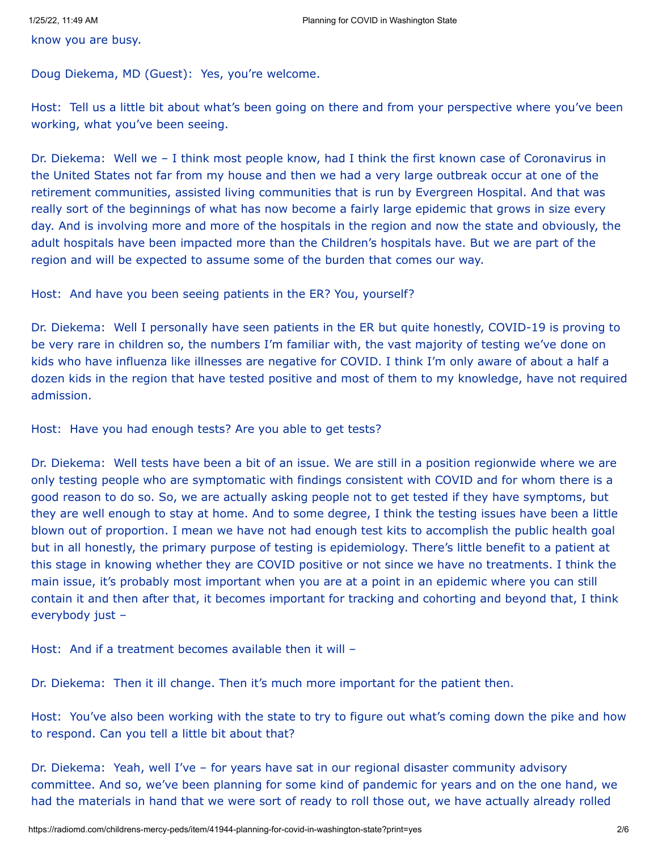know you are busy.

Doug Diekema, MD (Guest): Yes, you're welcome.

Host: Tell us a little bit about what's been going on there and from your perspective where you've been working, what you've been seeing.

Dr. Diekema: Well we – I think most people know, had I think the first known case of Coronavirus in the United States not far from my house and then we had a very large outbreak occur at one of the retirement communities, assisted living communities that is run by Evergreen Hospital. And that was really sort of the beginnings of what has now become a fairly large epidemic that grows in size every day. And is involving more and more of the hospitals in the region and now the state and obviously, the adult hospitals have been impacted more than the Children's hospitals have. But we are part of the region and will be expected to assume some of the burden that comes our way.

Host: And have you been seeing patients in the ER? You, yourself?

Dr. Diekema: Well I personally have seen patients in the ER but quite honestly, COVID-19 is proving to be very rare in children so, the numbers I'm familiar with, the vast majority of testing we've done on kids who have influenza like illnesses are negative for COVID. I think I'm only aware of about a half a dozen kids in the region that have tested positive and most of them to my knowledge, have not required admission.

Host: Have you had enough tests? Are you able to get tests?

Dr. Diekema: Well tests have been a bit of an issue. We are still in a position regionwide where we are only testing people who are symptomatic with findings consistent with COVID and for whom there is a good reason to do so. So, we are actually asking people not to get tested if they have symptoms, but they are well enough to stay at home. And to some degree, I think the testing issues have been a little blown out of proportion. I mean we have not had enough test kits to accomplish the public health goal but in all honestly, the primary purpose of testing is epidemiology. There's little benefit to a patient at this stage in knowing whether they are COVID positive or not since we have no treatments. I think the main issue, it's probably most important when you are at a point in an epidemic where you can still contain it and then after that, it becomes important for tracking and cohorting and beyond that, I think everybody just –

Host: And if a treatment becomes available then it will –

Dr. Diekema: Then it ill change. Then it's much more important for the patient then.

Host: You've also been working with the state to try to figure out what's coming down the pike and how to respond. Can you tell a little bit about that?

Dr. Diekema: Yeah, well I've – for years have sat in our regional disaster community advisory committee. And so, we've been planning for some kind of pandemic for years and on the one hand, we had the materials in hand that we were sort of ready to roll those out, we have actually already rolled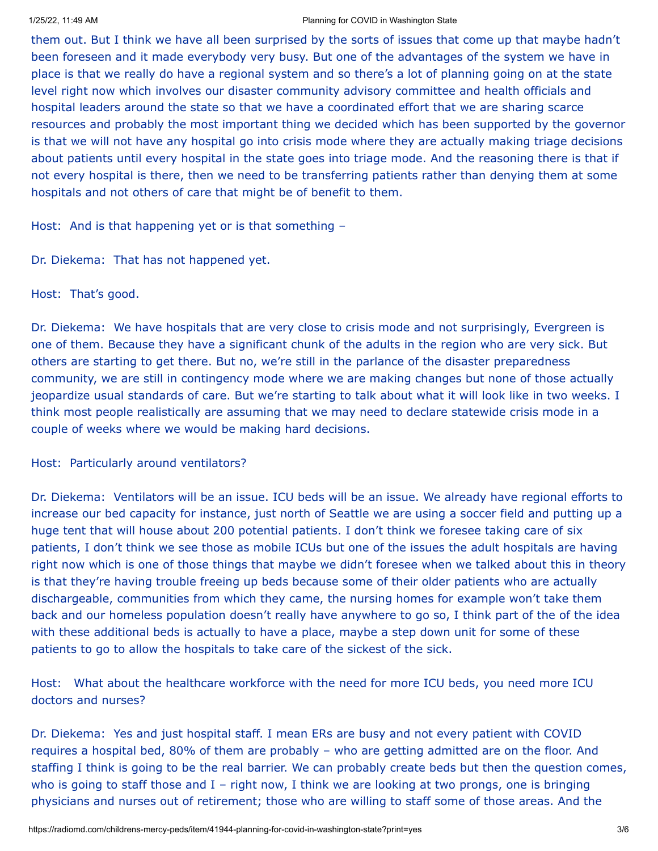#### 1/25/22, 11:49 AM Planning for COVID in Washington State

them out. But I think we have all been surprised by the sorts of issues that come up that maybe hadn't been foreseen and it made everybody very busy. But one of the advantages of the system we have in place is that we really do have a regional system and so there's a lot of planning going on at the state level right now which involves our disaster community advisory committee and health officials and hospital leaders around the state so that we have a coordinated effort that we are sharing scarce resources and probably the most important thing we decided which has been supported by the governor is that we will not have any hospital go into crisis mode where they are actually making triage decisions about patients until every hospital in the state goes into triage mode. And the reasoning there is that if not every hospital is there, then we need to be transferring patients rather than denying them at some hospitals and not others of care that might be of benefit to them.

Host: And is that happening yet or is that something –

Dr. Diekema: That has not happened yet.

Host: That's good.

Dr. Diekema: We have hospitals that are very close to crisis mode and not surprisingly, Evergreen is one of them. Because they have a significant chunk of the adults in the region who are very sick. But others are starting to get there. But no, we're still in the parlance of the disaster preparedness community, we are still in contingency mode where we are making changes but none of those actually jeopardize usual standards of care. But we're starting to talk about what it will look like in two weeks. I think most people realistically are assuming that we may need to declare statewide crisis mode in a couple of weeks where we would be making hard decisions.

Host: Particularly around ventilators?

Dr. Diekema: Ventilators will be an issue. ICU beds will be an issue. We already have regional efforts to increase our bed capacity for instance, just north of Seattle we are using a soccer field and putting up a huge tent that will house about 200 potential patients. I don't think we foresee taking care of six patients, I don't think we see those as mobile ICUs but one of the issues the adult hospitals are having right now which is one of those things that maybe we didn't foresee when we talked about this in theory is that they're having trouble freeing up beds because some of their older patients who are actually dischargeable, communities from which they came, the nursing homes for example won't take them back and our homeless population doesn't really have anywhere to go so, I think part of the of the idea with these additional beds is actually to have a place, maybe a step down unit for some of these patients to go to allow the hospitals to take care of the sickest of the sick.

Host: What about the healthcare workforce with the need for more ICU beds, you need more ICU doctors and nurses?

Dr. Diekema: Yes and just hospital staff. I mean ERs are busy and not every patient with COVID requires a hospital bed, 80% of them are probably – who are getting admitted are on the floor. And staffing I think is going to be the real barrier. We can probably create beds but then the question comes, who is going to staff those and  $I$  – right now, I think we are looking at two prongs, one is bringing physicians and nurses out of retirement; those who are willing to staff some of those areas. And the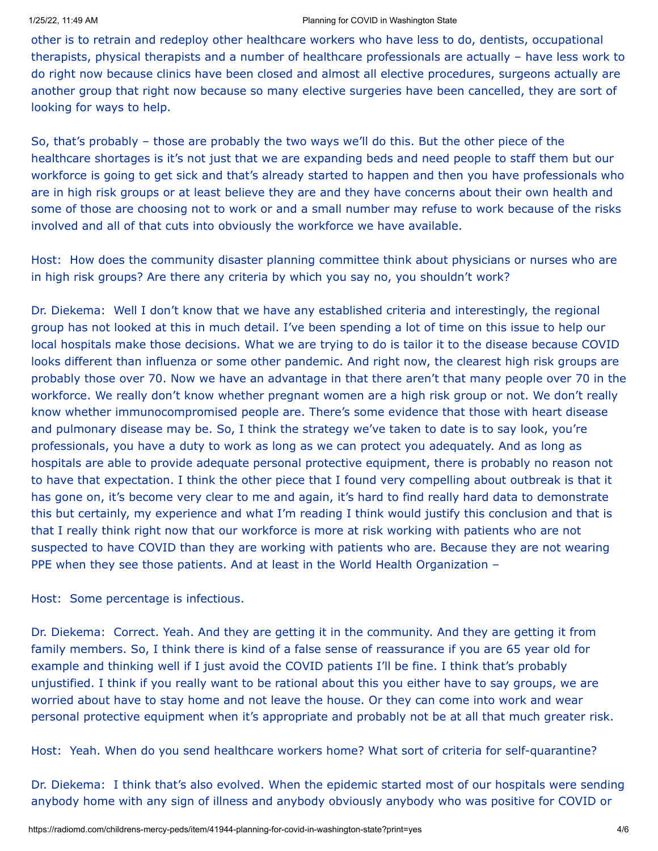other is to retrain and redeploy other healthcare workers who have less to do, dentists, occupational therapists, physical therapists and a number of healthcare professionals are actually – have less work to do right now because clinics have been closed and almost all elective procedures, surgeons actually are another group that right now because so many elective surgeries have been cancelled, they are sort of looking for ways to help.

So, that's probably – those are probably the two ways we'll do this. But the other piece of the healthcare shortages is it's not just that we are expanding beds and need people to staff them but our workforce is going to get sick and that's already started to happen and then you have professionals who are in high risk groups or at least believe they are and they have concerns about their own health and some of those are choosing not to work or and a small number may refuse to work because of the risks involved and all of that cuts into obviously the workforce we have available.

Host: How does the community disaster planning committee think about physicians or nurses who are in high risk groups? Are there any criteria by which you say no, you shouldn't work?

Dr. Diekema: Well I don't know that we have any established criteria and interestingly, the regional group has not looked at this in much detail. I've been spending a lot of time on this issue to help our local hospitals make those decisions. What we are trying to do is tailor it to the disease because COVID looks different than influenza or some other pandemic. And right now, the clearest high risk groups are probably those over 70. Now we have an advantage in that there aren't that many people over 70 in the workforce. We really don't know whether pregnant women are a high risk group or not. We don't really know whether immunocompromised people are. There's some evidence that those with heart disease and pulmonary disease may be. So, I think the strategy we've taken to date is to say look, you're professionals, you have a duty to work as long as we can protect you adequately. And as long as hospitals are able to provide adequate personal protective equipment, there is probably no reason not to have that expectation. I think the other piece that I found very compelling about outbreak is that it has gone on, it's become very clear to me and again, it's hard to find really hard data to demonstrate this but certainly, my experience and what I'm reading I think would justify this conclusion and that is that I really think right now that our workforce is more at risk working with patients who are not suspected to have COVID than they are working with patients who are. Because they are not wearing PPE when they see those patients. And at least in the World Health Organization –

Host: Some percentage is infectious.

Dr. Diekema: Correct. Yeah. And they are getting it in the community. And they are getting it from family members. So, I think there is kind of a false sense of reassurance if you are 65 year old for example and thinking well if I just avoid the COVID patients I'll be fine. I think that's probably unjustified. I think if you really want to be rational about this you either have to say groups, we are worried about have to stay home and not leave the house. Or they can come into work and wear personal protective equipment when it's appropriate and probably not be at all that much greater risk.

Host: Yeah. When do you send healthcare workers home? What sort of criteria for self-quarantine?

Dr. Diekema: I think that's also evolved. When the epidemic started most of our hospitals were sending anybody home with any sign of illness and anybody obviously anybody who was positive for COVID or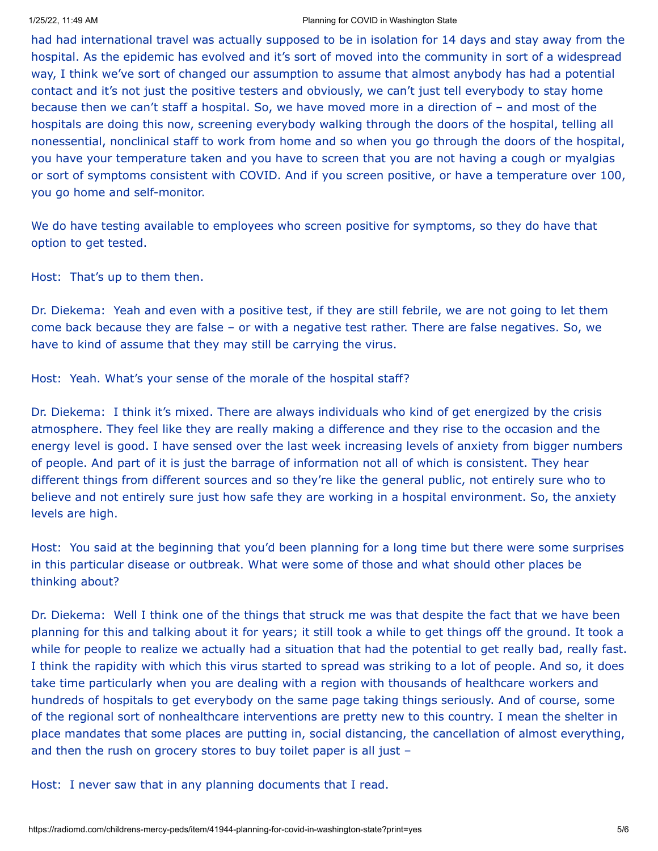#### 1/25/22, 11:49 AM Planning for COVID in Washington State

had had international travel was actually supposed to be in isolation for 14 days and stay away from the hospital. As the epidemic has evolved and it's sort of moved into the community in sort of a widespread way, I think we've sort of changed our assumption to assume that almost anybody has had a potential contact and it's not just the positive testers and obviously, we can't just tell everybody to stay home because then we can't staff a hospital. So, we have moved more in a direction of – and most of the hospitals are doing this now, screening everybody walking through the doors of the hospital, telling all nonessential, nonclinical staff to work from home and so when you go through the doors of the hospital, you have your temperature taken and you have to screen that you are not having a cough or myalgias or sort of symptoms consistent with COVID. And if you screen positive, or have a temperature over 100, you go home and self-monitor.

We do have testing available to employees who screen positive for symptoms, so they do have that option to get tested.

Host: That's up to them then.

Dr. Diekema: Yeah and even with a positive test, if they are still febrile, we are not going to let them come back because they are false – or with a negative test rather. There are false negatives. So, we have to kind of assume that they may still be carrying the virus.

Host: Yeah. What's your sense of the morale of the hospital staff?

Dr. Diekema: I think it's mixed. There are always individuals who kind of get energized by the crisis atmosphere. They feel like they are really making a difference and they rise to the occasion and the energy level is good. I have sensed over the last week increasing levels of anxiety from bigger numbers of people. And part of it is just the barrage of information not all of which is consistent. They hear different things from different sources and so they're like the general public, not entirely sure who to believe and not entirely sure just how safe they are working in a hospital environment. So, the anxiety levels are high.

Host: You said at the beginning that you'd been planning for a long time but there were some surprises in this particular disease or outbreak. What were some of those and what should other places be thinking about?

Dr. Diekema: Well I think one of the things that struck me was that despite the fact that we have been planning for this and talking about it for years; it still took a while to get things off the ground. It took a while for people to realize we actually had a situation that had the potential to get really bad, really fast. I think the rapidity with which this virus started to spread was striking to a lot of people. And so, it does take time particularly when you are dealing with a region with thousands of healthcare workers and hundreds of hospitals to get everybody on the same page taking things seriously. And of course, some of the regional sort of nonhealthcare interventions are pretty new to this country. I mean the shelter in place mandates that some places are putting in, social distancing, the cancellation of almost everything, and then the rush on grocery stores to buy toilet paper is all just –

Host: I never saw that in any planning documents that I read.